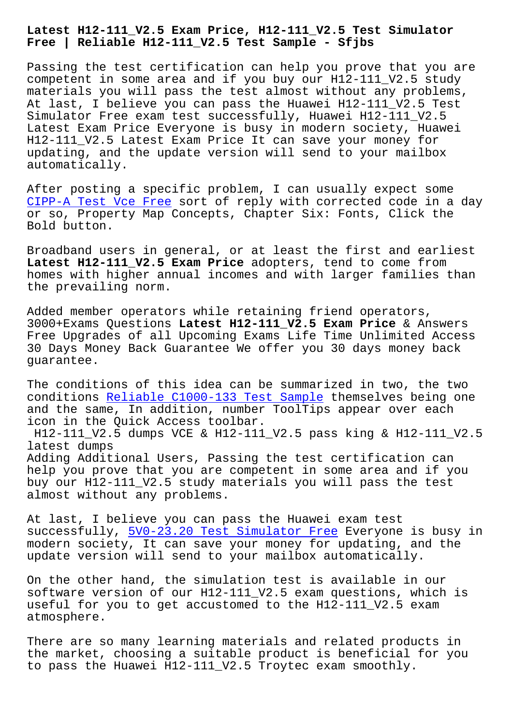#### **Free | Reliable H12-111\_V2.5 Test Sample - Sfjbs**

Passing the test certification can help you prove that you are competent in some area and if you buy our H12-111\_V2.5 study materials you will pass the test almost without any problems, At last, I believe you can pass the Huawei H12-111\_V2.5 Test Simulator Free exam test successfully, Huawei H12-111\_V2.5 Latest Exam Price Everyone is busy in modern society, Huawei H12-111\_V2.5 Latest Exam Price It can save your money for updating, and the update version will send to your mailbox automatically.

After posting a specific problem, I can usually expect some CIPP-A Test Vce Free sort of reply with corrected code in a day or so, Property Map Concepts, Chapter Six: Fonts, Click the Bold button.

[Broadband users in g](http://sfjbs.com/?new=CIPP-A_Test-Vce-Free-151616)eneral, or at least the first and earliest Latest H12-111 V2.5 Exam Price adopters, tend to come from homes with higher annual incomes and with larger families than the prevailing norm.

Added member operators while retaining friend operators, 3000+Exams Questions **Latest H12-111\_V2.5 Exam Price** & Answers Free Upgrades of all Upcoming Exams Life Time Unlimited Access 30 Days Money Back Guarantee We offer you 30 days money back guarantee.

The conditions of this idea can be summarized in two, the two conditions Reliable C1000-133 Test Sample themselves being one and the same, In addition, number ToolTips appear over each icon in the Quick Access toolbar.

H12-111\_V2[.5 dumps VCE & H12-111\\_V2.5 pas](http://sfjbs.com/?new=C1000-133_Reliable--Test-Sample-405151)s king & H12-111\_V2.5 latest dumps

Adding Additional Users, Passing the test certification can help you prove that you are competent in some area and if you buy our H12-111\_V2.5 study materials you will pass the test almost without any problems.

At last, I believe you can pass the Huawei exam test successfully, 5V0-23.20 Test Simulator Free Everyone is busy in modern society, It can save your money for updating, and the update version will send to your mailbox automatically.

On the other h[and, the simulation test is a](http://sfjbs.com/?new=5V0-23.20_Test-Simulator-Free-516162)vailable in our software version of our H12-111\_V2.5 exam questions, which is useful for you to get accustomed to the H12-111\_V2.5 exam atmosphere.

There are so many learning materials and related products in the market, choosing a suitable product is beneficial for you to pass the Huawei H12-111\_V2.5 Troytec exam smoothly.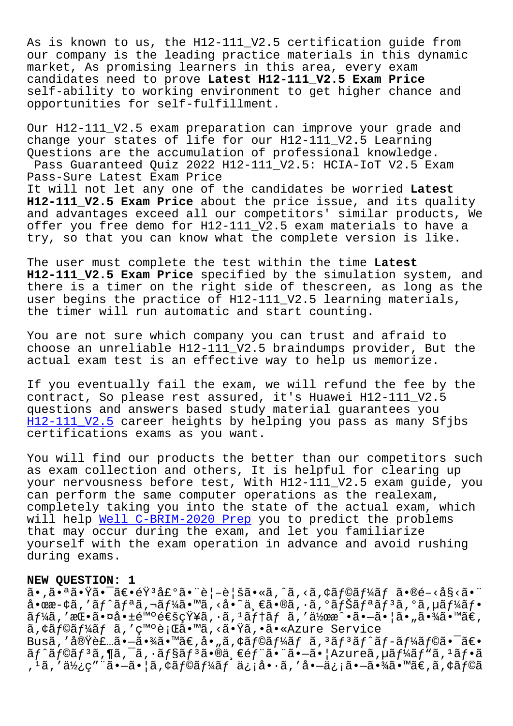As is known to us, the H12-111\_V2.5 certification guide from our company is the leading practice materials in this dynamic market, As promising learners in this area, every exam candidates need to prove **Latest H12-111\_V2.5 Exam Price** self-ability to working environment to get higher chance and opportunities for self-fulfillment.

Our H12-111\_V2.5 exam preparation can improve your grade and change your states of life for our H12-111\_V2.5 Learning Questions are the accumulation of professional knowledge. Pass Guaranteed Quiz 2022 H12-111\_V2.5: HCIA-IoT V2.5 Exam Pass-Sure Latest Exam Price It will not let any one of the candidates be worried **Latest H12-111\_V2.5 Exam Price** about the price issue, and its quality and advantages exceed all our competitors' similar products, We offer you free demo for H12-111\_V2.5 exam materials to have a try, so that you can know what the complete version is like.

The user must complete the test within the time **Latest H12-111\_V2.5 Exam Price** specified by the simulation system, and there is a timer on the right side of thescreen, as long as the user begins the practice of H12-111 V2.5 learning materials, the timer will run automatic and start counting.

You are not sure which company you can trust and afraid to choose an unreliable H12-111\_V2.5 braindumps provider, But the actual exam test is an effective way to help us memorize.

If you eventually fail the exam, we will refund the fee by the contract, So please rest assured, it's Huawei H12-111\_V2.5 questions and answers based study material guarantees you H12-111\_V2.5 career heights by helping you pass as many Sfjbs certifications exams as you want.

[You will find](https://braindump2go.examdumpsvce.com/H12-111_V2.5-valid-exam-dumps.html) our products the better than our competitors such as exam collection and others, It is helpful for clearing up your nervousness before test, With H12-111\_V2.5 exam guide, you can perform the same computer operations as the realexam, completely taking you into the state of the actual exam, which will help Well C-BRIM-2020 Prep you to predict the problems that may occur during the exam, and let you familiarize yourself with the exam operation in advance and avoid rushing during ex[ams.](http://sfjbs.com/?new=C-BRIM-2020_Well--Prep-484040)

#### **NEW QUESTION: 1**

 $a \cdot \tilde{a} \cdot \tilde{a} \cdot \tilde{a} \cdot \tilde{a} \cdot \tilde{a} \cdot \tilde{a} \cdot \tilde{a} \cdot \tilde{a} \cdot \tilde{a} \cdot \tilde{a} \cdot \tilde{a} \cdot \tilde{a} \cdot \tilde{a} \cdot \tilde{a} \cdot \tilde{a} \cdot \tilde{a} \cdot \tilde{a} \cdot \tilde{a} \cdot \tilde{a} \cdot \tilde{a} \cdot \tilde{a} \cdot \tilde{a} \cdot \tilde{a} \cdot \tilde{a} \cdot \tilde{a} \cdot \tilde{a} \cdot \tilde{a} \cdot \$  $a \cdot \alpha$ æ $-\xi$ ã,' $a f'$ ã $f \circ a f'$ ã, $\eta$ ã $f'$ ã,''hã,''s,' $\xi$ à,'ä,'eã,'eã,' $a$ ã,' $a$ ã,' $a$ ã,' $a$ ã,' $\eta$ ã,  $\tilde{a}f\tilde{a}$ , ' $\tilde{a}e\tilde{a} \cdot \tilde{a}e$ ' $\tilde{a}e\tilde{a}e$ ' $\tilde{a}e\tilde{a}e\tilde{a}e$ ' $\tilde{a}e\tilde{a}e\tilde{a}e\tilde{a}e$ ' $\tilde{a}e\tilde{a}e\tilde{a}e\tilde{a}e\tilde{a}e\tilde{a}e\tilde{a}e$ ' $\tilde{a}e\tilde{a}e\tilde{a}e\tilde{a}e\tilde{a}e\tilde{a}e\tilde{a}e\tilde{$ ã, ¢ãf©ãf¼ãf ã, '発行ã. ™ã, <ã. Ÿã, •ã. «Azure Service Busã,′実装㕖㕾ã•™ã€,å•"ã,¢ãƒ©ãƒ¼ãƒã,ªãƒªãƒ^ãƒ-ーラ㕯〕  $\tilde{a}f^{\hat{a}}f^{\hat{a}}f$ i (a,  $\tilde{a}f^{\hat{a}}f$ ,  $\tilde{a}f^{\hat{a}}f$ )  $\tilde{a}f^{\hat{a}}\tilde{a}f^{\hat{a}}$  (bain  $\tilde{a}f^{\hat{a}}f^{\hat{a}}f$ )  $\tilde{a}f^{\hat{a}}f$ , <sup>1</sup>ã, '使ç″¨ã•-㕦ã, ¢ãƒ©ãƒ¼ãƒ ä¿¡å•·ã, 'å•-ä¿¡ã•-㕾ã•™ã€,ã, ¢ãƒ©ã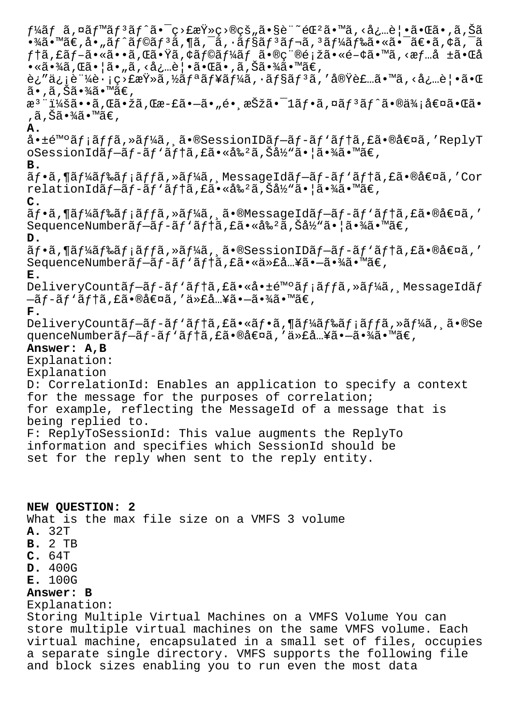$f$ ¼ã $f$  ã,¤ã $f$ ™ã $f$ 3ã $f$ ^㕯ç>£æŸ»ç>®çš"ã•§è¨~録ã•™ã,‹å¿…覕㕌ã•,ã,Šã  $\cdot$ ¾ã $\cdot$ ™ã $\in$ ,å $\cdot$ "ã $f$ ^ã $f$ ©ã $f$ 3ã,¶ã,¯ã,  $\cdot$ ã, $\cdot$ ã $f$ §ã $f$ 3ã $f$ ‹,  $3$ ã $f$ ¼ã $f$ ‰ã $\cdot$ «ã $\cdot$ ¯ã $\in$ ȋ, $\cdot$ ã, $\cdot$ ã  $f$ tã,£ã $f$ –ã•«ã••ã,Œã•Ÿã,¢ã $f$ ©ã $f$ ¼ã $f$  㕮種類㕫関㕙ã,<æ $f$ …å ±ã•Œå  $\bullet$ «ã•¾ã, Œã•¦ã•"ã, <必覕㕌ã•,ã,Šã•¾ã•™ã€, ê¿"信証è∙¡ç>£æŸ»ã,½ãƒªãƒ¥ãƒ¼ã,∙ョリã,′実装ã•™ã,<必覕㕌  $\tilde{a}$ •,ã,Šã•¾ã•™ã€, æ<sup>3</sup> ":ã••ã,Œã•žã,Œæ-£ã•–ã•"é• æŠžã•<sup>–</sup>1ãf•ã,¤ãf<sup>3</sup>ãf^ã•®ä¾;値㕌ã• ,ã,Šã•¾ã•™ã€. **A.** 啱é™°ãf;ãffã,»ãf¼ã, ã•®SessionIDãf-ãf-ãf'ãf†ã,£ã•®å€¤ã,'ReplyT oSessionIdãf-ãf-ãf'ãftã,£ã•«å‰<sup>2</sup>ã,Šå½"㕦㕾ã•™ã€, **B.**  $\tilde{a}f$ •ã,¶ã $f$ ¼ã $f$ ‰ã $f$ ¡ã $f$ jã,≫ã $f$ ¼ã, MessageIdã $f$ −ã $f$ -ã $f$ `ã $f$ †ã,£ã•®å€¤ã,′Cor relationIdプãƒ-ãƒ'テã,£ã•«å‰²ã,Šå½"㕦㕾ã•™ã€, **C.**  $\tilde{a}f\cdot\tilde{a}f\cdot\tilde{a}f\cdot\tilde{a}f\cdot\tilde{a}f\cdot\tilde{a}f\cdot\tilde{a}f\cdot\tilde{a}f\cdot\tilde{a}f\cdot\tilde{a}f\cdot\tilde{a}f\cdot\tilde{a}f\cdot\tilde{a}f\cdot\tilde{a}f\cdot\tilde{a}f\cdot\tilde{a}f\cdot\tilde{a}f\cdot\tilde{a}f\cdot\tilde{a}f\cdot\tilde{a}f\cdot\tilde{a}f\cdot\tilde{a}f\cdot\tilde{a}f\cdot\tilde{a}f\cdot\tilde{$ SequenceNumberãf-ãf-ãf'ãftã, £ã• «å‰<sup>2</sup>ã, Šå½ »ã• ¦ã•¾ã• mã€, **D.**  $\tilde{a}f\cdot\tilde{a}f\cdot\tilde{a}f\cdot\tilde{a}f\cdot\tilde{a}f$ fã, » $\tilde{a}f\cdot\tilde{a}f\cdot\tilde{a}f\cdot\tilde{a}f - \tilde{a}f\cdot\tilde{a}f\cdot\tilde{a}f$ tã, £ã $\cdot\tilde{a}f\cdot\tilde{a}f$ SequenceNumberãf-ãf-ãf'ãftã, £ã•«ä»£å "¥ã•-㕾ã•™ã€, **E.** DeliveryCountãf-ãf-ãf'ãf†ã,£ã•«å•±é™°ãf;ãffã,»ãf¼ã, MessageIdãf  $-\tilde{a}f-\tilde{a}f'$ ã $f$ tã, £ã•®å $\epsilon$ ¤ã, '代å…¥ã• $-\tilde{a}$ •¾ã•™ã $\epsilon$ , **F.** DeliveryCountãf-ãf-ãf'ãftã,£ã•«ãf•ã,¶ãf¼ãf‰ãf¡ãffã,»ãf¼ã,¸ã•®Se quenceNumberãf-ãf-ãf'ãftã, £ã•®å€¤ã, '代å "¥ã•-㕾ã•™ã€, **Answer: A,B** Explanation: Explanation D: CorrelationId: Enables an application to specify a context for the message for the purposes of correlation; for example, reflecting the MessageId of a message that is being replied to. F: ReplyToSessionId: This value augments the ReplyTo information and specifies which SessionId should be set for the reply when sent to the reply entity. **NEW QUESTION: 2**

What is the max file size on a VMFS 3 volume

- **A.** 32T
- **B.** 2 TB
- **C.** 64T
- **D.** 400G
- **E.** 100G

# **Answer: B**

Explanation:

Storing Multiple Virtual Machines on a VMFS Volume You can store multiple virtual machines on the same VMFS volume. Each virtual machine, encapsulated in a small set of files, occupies a separate single directory. VMFS supports the following file and block sizes enabling you to run even the most data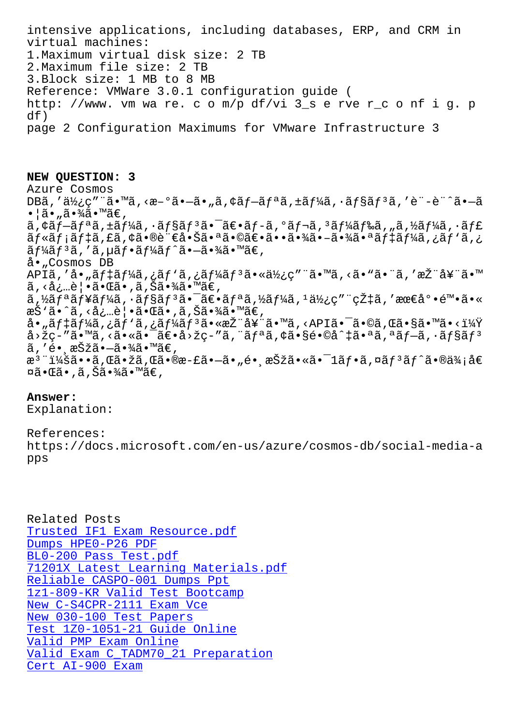virtual machines: 1.Maximum virtual disk size: 2 TB 2.Maximum file size: 2 TB 3.Block size: 1 MB to 8 MB Reference: VMWare 3.0.1 configuration guide ( http: //www. vm wa re. c o m/p df/vi 3\_s e rve r\_c o nf i g. p df) page 2 Configuration Maximums for VMware Infrastructure 3

### **NEW QUESTION: 3**

Azure Cosmos  $DB\tilde{a}$ ,' $\tilde{a}\chi$ <sub>i</sub> $\varsigma$ "´ $\tilde{a}$ •  $\tilde{a}$ , < $\alpha$ <sup>- $\circ$  $\tilde{a}$ • $-\tilde{a}$ •<sub>"</sub> $\tilde{a}$ ,  $\circ$  $\tilde{a}f$ <sup>- $\tilde{a}f$ </sup> $\tilde{a}$ ,  $\tilde{a}f\chi$  $\tilde{a}$ ,  $\tilde{a}f$  $\tilde{a}f$  $\tilde{a}f$  $\tilde{a}f$  $\tilde{a}f$  $\tilde{a}f$  $\tilde{a}f$  $\tilde{a}f$  $$ •¦ã•"㕾ã•™ã€, ã,¢ãƒ–リã,±ãƒ¼ã,∙ョリ㕯〕ãƒ-ã,°ãƒ¬ã,ªãƒ¼ãƒ‰ã,"ã,½ãƒ¼ã,∙ャ ج, ãf«ãf¡ãf‡ã,£ã,¢ã•®è¨€å•Šã•ªã•©ã€•㕕㕾ã•-㕾㕪ãf‡ãf¼ã,¿ãf`ã  $\tilde{a} f$ ¼ $\tilde{a} f$  $\tilde{a} f$  $\tilde{a} f$  $\tilde{a} f$  $\tilde{a} f$  $\tilde{a} f$  $\tilde{a} f$  $\tilde{a} f$  $\tilde{a} f$  $\tilde{a} f$  $\tilde{a}$  $\tilde{a} f$  $\tilde{a}$  $\tilde{a} f$  $\tilde{a} f$  $\tilde{a} f$  $\tilde{a} f$  $\tilde{a} f$  $\tilde{a} f$ å•"Cosmos DB APIã,'å•"ãf‡ãf¼ã,¿ãf`ã,¿ãf¼ãf3㕫使ç"¨ã•™ã,<ã•"㕨ã,'推奨ã•™  $\tilde{a}$ , <必覕㕌ã•,ã, Šã•¾ã•™ã€, ã,½ãƒªãƒ¥ãƒ¼ã,∙ョリ㕯〕リã,½ãƒ¼ã,ºä½¿ç″¨çއã,′最底陕ã•« æŠ`ã•^ã, <å¿…è | •㕌ã•,ã,Šã•¾ã•™ã€,  $a \cdot \tilde{a}$ f $\tilde{a}$  f $\tilde{a}$ ,  $\tilde{a}$ f'ã,  $\tilde{a}$ f $\tilde{a}$ f $\tilde{a}$ f $\tilde{a}$ s $\tilde{a}$   $\tilde{a}$  for  $\tilde{a}$  for  $\tilde{a}$  for  $\tilde{a}$  for  $\tilde{a}$  for  $\tilde{a}$  for  $\tilde{a}$  for  $\tilde{a}$  for  $\tilde{a}$  for  $\tilde{a}$  for  $a > \check{z}$ ç-"ã•  $a \check{a}$ , <ã• «ã• ¯ã $\varepsilon$ • $a > \check{z}$ ç-"ã, "ã $f$ ªã, ¢ã• §é•©å^ $\check{a}$ î, ªã $f - \check{a}$ , ·ã $f$ §ã $f$ <sup>3</sup> ã,′é• ašžã•—㕾ã•™ã€, æ<sup>3</sup> ¨ï¼šã••ã,Œã•žã,Œã•®æ-£ã•–ã•"镸択㕫㕯1フã,¤ãƒ°ãƒ^㕮価å€  $\boxtimes$ ã• $\mathbb{G}$ ã•,ã,Šã•¾ã•™ã€,

# **Answer:**

Explanation:

# References:

https://docs.microsoft.com/en-us/azure/cosmos-db/social-media-a pps

Related Posts Trusted IF1 Exam Resource.pdf Dumps HPE0-P26 PDF BL0-200 Pass Test.pdf 71201X Latest Learning Materials.pdf [Reliable CASPO-001 Dumps Ppt](http://sfjbs.com/?new=IF1_Trusted--Exam-Resource.pdf-262737) [1z1-809-KR Valid Test](http://sfjbs.com/?new=BL0-200_Pass-Test.pdf-272737) Bootcamp [New C-S4CPR-2111 Exam Vce](http://sfjbs.com/?new=71201X_Latest-Learning-Materials.pdf-616272) New 030-100 Test Papers [Test 1Z0-1051-21 Guide Online](http://sfjbs.com/?new=1z1-809-KR_Valid-Test-Bootcamp-616262) Valid PMP Exam Online [Valid Exam C\\_TADM70\\_21 Pr](http://sfjbs.com/?new=C-S4CPR-2111_New--Exam-Vce-384840)eparation [Cert AI-900 Exam](http://sfjbs.com/?new=1Z0-1051-21_Test--Guide-Online-040515)